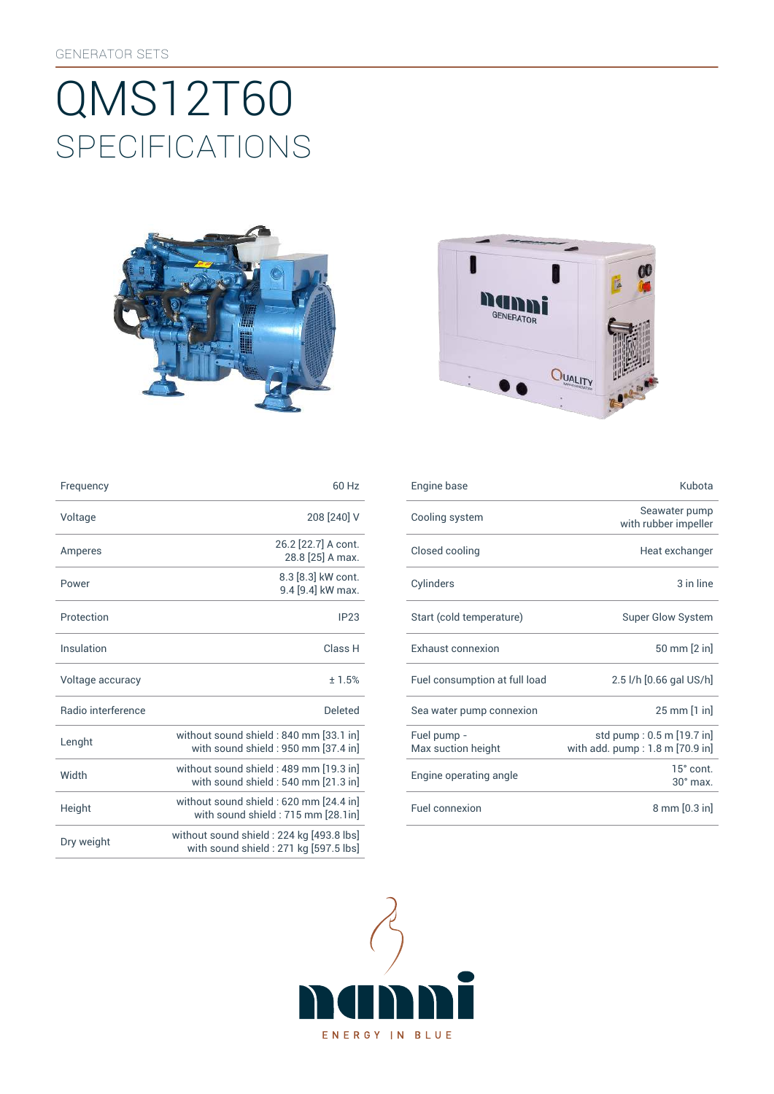# SpEcificATiONS QMS12T60





| Frequency          | 60 Hz                                                                             | Engine base                       | Kubota                                                       |
|--------------------|-----------------------------------------------------------------------------------|-----------------------------------|--------------------------------------------------------------|
| Voltage            | 208 [240] V                                                                       | Cooling system                    | Seawater pump<br>with rubber impeller                        |
| Amperes            | 26.2 [22.7] A cont.<br>28.8 [25] A max.                                           | Closed cooling                    | Heat exchanger                                               |
| Power              | 8.3 [8.3] kW cont.<br>9.4 [9.4] kW max.                                           | Cylinders                         | 3 in line                                                    |
| Protection         | IP23                                                                              | Start (cold temperature)          | <b>Super Glow System</b>                                     |
| Insulation         | Class H                                                                           | Exhaust connexion                 | 50 mm [2 in]                                                 |
| Voltage accuracy   | ±1.5%                                                                             | Fuel consumption at full load     | 2.5 l/h [0.66 gal US/h]                                      |
| Radio interference | <b>Deleted</b>                                                                    | Sea water pump connexion          | 25 mm [1 in]                                                 |
| Lenght             | without sound shield : 840 mm [33.1 in]<br>with sound shield : 950 mm [37.4 in]   | Fuel pump -<br>Max suction height | std pump: 0.5 m [19.7 in]<br>with add. pump: 1.8 m [70.9 in] |
| Width              | without sound shield: 489 mm [19.3 in]<br>with sound shield: 540 mm [21.3 in]     | Engine operating angle            | 15° cont.<br>$30^\circ$ max.                                 |
| Height             | without sound shield : 620 mm [24.4 in]<br>with sound shield: 715 mm [28.1in]     | Fuel connexion                    | 8 mm [0.3 in]                                                |
| Dry weight         | without sound shield: 224 kg [493.8 lbs]<br>with sound shield: 271 kg [597.5 lbs] |                                   |                                                              |

| Frequency          | 60 Hz                                                                         | Engine base                       | Kubota                                                       |
|--------------------|-------------------------------------------------------------------------------|-----------------------------------|--------------------------------------------------------------|
| Voltage            | 208 [240] V                                                                   | Cooling system                    | Seawater pump<br>with rubber impeller                        |
| Amperes            | 26.2 [22.7] A cont.<br>28.8 [25] A max.                                       | Closed cooling                    | Heat exchanger                                               |
| Power              | 8.3 [8.3] kW cont.<br>9.4 [9.4] kW max.                                       | Cylinders                         | 3 in line                                                    |
| Protection         | IP23                                                                          | Start (cold temperature)          | <b>Super Glow System</b>                                     |
| Insulation         | Class H                                                                       | <b>Exhaust connexion</b>          | 50 mm [2 in]                                                 |
| Voltage accuracy   | ±1.5%                                                                         | Fuel consumption at full load     | 2.5 l/h [0.66 gal US/h]                                      |
| Radio interference | <b>Deleted</b>                                                                | Sea water pump connexion          | 25 mm [1 in]                                                 |
| Lenght             | without sound shield: 840 mm [33.1 in]<br>with sound shield: 950 mm [37.4 in] | Fuel pump -<br>Max suction height | std pump: 0.5 m [19.7 in]<br>with add. pump: 1.8 m [70.9 in] |
| Width              | without sound shield: 489 mm [19.3 in]<br>with sound shield: 540 mm [21.3 in] | Engine operating angle            | $15^\circ$ cont.<br>$30^\circ$ max.                          |
| Height             | without sound shield: 620 mm [24.4 in]<br>with sound shield: 715 mm [28.1in]  | Fuel connexion                    | 8 mm [0.3 in]                                                |